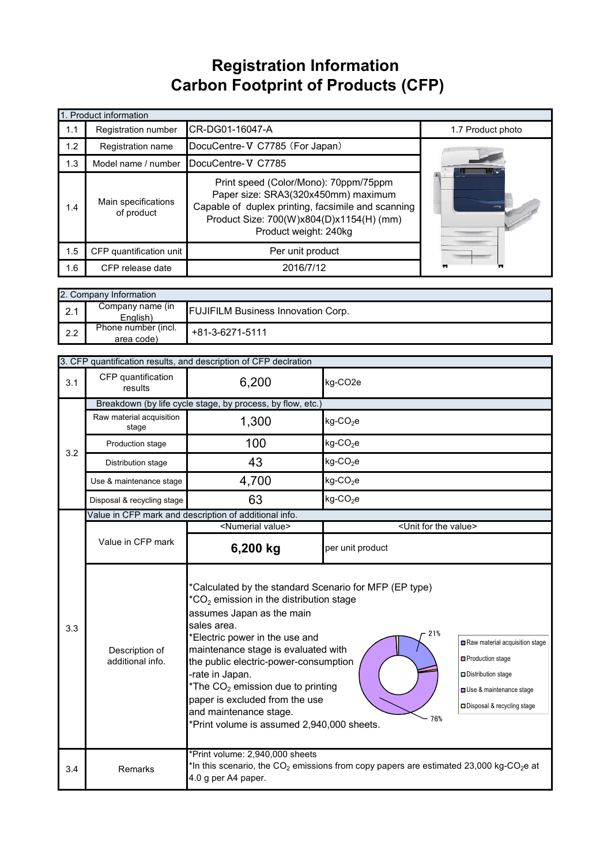## **Registration Information Carbon Footprint of Products (CFP)**

|     | 1. Product information                                                                                                                                                                                                                       |                                |                   |  |  |  |
|-----|----------------------------------------------------------------------------------------------------------------------------------------------------------------------------------------------------------------------------------------------|--------------------------------|-------------------|--|--|--|
| 1.1 | Registration number                                                                                                                                                                                                                          | CR-DG01-16047-A                | 1.7 Product photo |  |  |  |
| 1.2 | Registration name                                                                                                                                                                                                                            | DocuCentre-V C7785 (For Japan) |                   |  |  |  |
| 1.3 | Model name / number                                                                                                                                                                                                                          | DocuCentre-V C7785             |                   |  |  |  |
| 1.4 | Print speed (Color/Mono): 70ppm/75ppm<br>Paper size: SRA3(320x450mm) maximum<br>Main specifications<br>Capable of duplex printing, facsimile and scanning<br>of product<br>Product Size: 700(W)x804(D)x1154(H) (mm)<br>Product weight: 240kg |                                | $\equiv$          |  |  |  |
| 1.5 | CFP quantification unit                                                                                                                                                                                                                      | Per unit product               |                   |  |  |  |
| 1.6 | CFP release date                                                                                                                                                                                                                             | 2016/7/12                      |                   |  |  |  |

|               | 2. Company Information            |                                           |  |  |  |
|---------------|-----------------------------------|-------------------------------------------|--|--|--|
| っ 1<br>$\sim$ | Company name (in<br>English)      | <b>FUJIFILM Business Innovation Corp.</b> |  |  |  |
| 2.2           | Phone number (incl.<br>area code) | +81-3-6271-5111                           |  |  |  |

|     | 3. CFP quantification results, and description of CFP declration                                                                                                                                                                                                                                                                                                                                                                                                                          |                                                                                                                                                                          |                                                                                                                                       |  |  |
|-----|-------------------------------------------------------------------------------------------------------------------------------------------------------------------------------------------------------------------------------------------------------------------------------------------------------------------------------------------------------------------------------------------------------------------------------------------------------------------------------------------|--------------------------------------------------------------------------------------------------------------------------------------------------------------------------|---------------------------------------------------------------------------------------------------------------------------------------|--|--|
| 3.1 | CFP quantification<br>results                                                                                                                                                                                                                                                                                                                                                                                                                                                             | 6,200                                                                                                                                                                    | kg-CO2e                                                                                                                               |  |  |
|     |                                                                                                                                                                                                                                                                                                                                                                                                                                                                                           | Breakdown (by life cycle stage, by process, by flow, etc.)                                                                                                               |                                                                                                                                       |  |  |
|     | Raw material acquisition<br>stage                                                                                                                                                                                                                                                                                                                                                                                                                                                         | 1,300                                                                                                                                                                    | $kg$ -CO <sub>2</sub> e                                                                                                               |  |  |
| 3.2 | Production stage                                                                                                                                                                                                                                                                                                                                                                                                                                                                          | 100                                                                                                                                                                      | $kg$ -CO <sub>2</sub> e                                                                                                               |  |  |
|     | Distribution stage                                                                                                                                                                                                                                                                                                                                                                                                                                                                        | 43                                                                                                                                                                       | $kg$ -CO <sub>2</sub> e                                                                                                               |  |  |
|     | Use & maintenance stage                                                                                                                                                                                                                                                                                                                                                                                                                                                                   | 4,700                                                                                                                                                                    | $kg$ -CO <sub>2</sub> e                                                                                                               |  |  |
|     | Disposal & recycling stage                                                                                                                                                                                                                                                                                                                                                                                                                                                                | 63                                                                                                                                                                       | $kg$ -CO <sub>2</sub> e                                                                                                               |  |  |
|     |                                                                                                                                                                                                                                                                                                                                                                                                                                                                                           | Value in CFP mark and description of additional info.                                                                                                                    |                                                                                                                                       |  |  |
|     |                                                                                                                                                                                                                                                                                                                                                                                                                                                                                           | <numerial value=""></numerial>                                                                                                                                           | <unit for="" the="" value=""></unit>                                                                                                  |  |  |
|     | Value in CFP mark                                                                                                                                                                                                                                                                                                                                                                                                                                                                         | 6,200 kg                                                                                                                                                                 | per unit product                                                                                                                      |  |  |
| 3.3 | *Calculated by the standard Scenario for MFP (EP type)<br>$*CO2$ emission in the distribution stage<br>assumes Japan as the main<br>sales area.<br>21%<br>*Electric power in the use and<br>maintenance stage is evaluated with<br>Description of<br>additional info.<br>the public electric-power-consumption<br>-rate in Japan.<br>*The $CO2$ emission due to printing<br>paper is excluded from the use<br>and maintenance stage.<br>76%<br>*Print volume is assumed 2,940,000 sheets. |                                                                                                                                                                          | Raw material acquisition stage<br>□ Production stage<br>Distribution stage<br>Use & maintenance stage<br>□ Disposal & recycling stage |  |  |
| 3.4 | Remarks                                                                                                                                                                                                                                                                                                                                                                                                                                                                                   | *Print volume: 2,940,000 sheets<br>*In this scenario, the CO <sub>2</sub> emissions from copy papers are estimated 23,000 kg-CO <sub>2</sub> e at<br>4.0 g per A4 paper. |                                                                                                                                       |  |  |